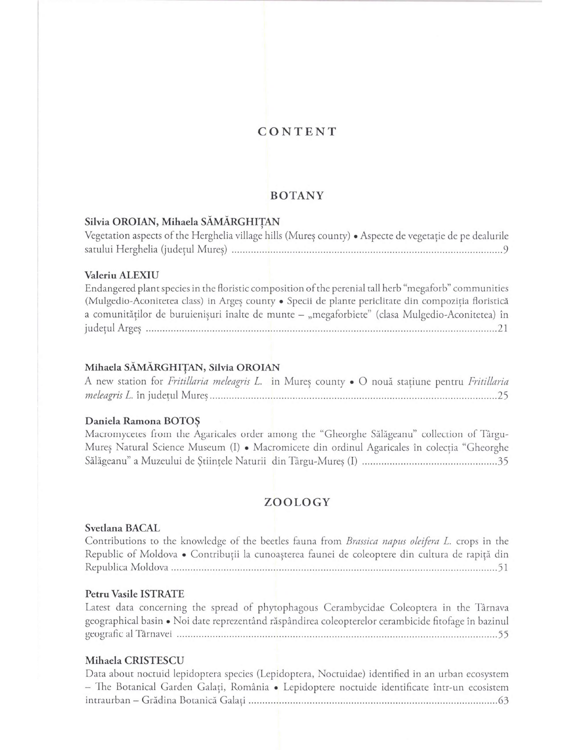# CONTENT

# BOTANY

# Silvia OROIAN, Mihaela SÄMÄRGHITAN

| Vegetation aspects of the Herghelia village hills (Mureș county) • Aspecte de vegetație de pe dealurile |  |  |
|---------------------------------------------------------------------------------------------------------|--|--|
|                                                                                                         |  |  |

# Valeriu ALEXIU

Endangered plant species in the floristic composition of the perenial tall herb "megaforb" communities (Mulgedio-Aconitetea class) in Argeș county · Specii de plante periclitate din compoziția floristică **BOTANY**<br> **BOTANY**<br> **BOTANY**<br>
Vegetation aspects of the Herghelia village hills (Murey county) • Aspecte de vegetatie de pe dealurile<br>
vegetation aspects of the Herghelia village hills (Murey county) • Aspecte de vegetatie judetul Arges ......................................................................................................................................... 21

# Mihaela SÄMÄRGHITAN, Silvia OROIAN

A new station for Fritillaria meleagris L. in Mureș county · O nouă stațiune pentru Fritillaria meleagris L. in judetul Mures.................................................................................................................25

# Daniela Ramona BOTOȘ

Macromycetes from the Agaricales order among the "Gheorghe Sälägeanu" collection of Tärgu-Mures Natural Science Museum (I) • Macromicete din ordinul Agaricales in colectia "Gheorghe Sälägeanu" a Muzeului de Stiintele Naturii din Tärgu-Mures (I) .................................................... 35

# ZOOLOGY

# Svetlana BACAL

Contributions to the knowledge of the beetles fauna from Brassica napus oleifera L. crops in the Republic of Moldova • Contribuții la cunoașterea faunei de coleoptere din cultura de rapiță din Republica Moldova.................................................................................................................................51

### Petru Vasile ISTRATE

Latest data concerning the spread of phytophagous Cerambycidae Coleoptera in the Târnava geographical basin • Noi date reprezentänd räspändirea coleopterelor cerambicide fitofage in bazinul geografic al Tárnavei .............................................................................................................................. 55 - The Botanical Garden Galati, Románia • Lepidoptere noctuide identificate intr-un ecosistem Salageanu" a Muzeului de Științele Naturii din Târgu-Mureș (I)<br>
200LOGY<br>
Svetlana BACAL<br>
Contributions to the knowledge of the beetles fauna from *Brassica napus oleifera L*. crops in the<br>
Republica Moldova • Contributii l

### Mihaela CRISTESCU

Data about noctuid lepidoptera species (Lepidoptera, Noctuidae) identified in an urban ecosystem